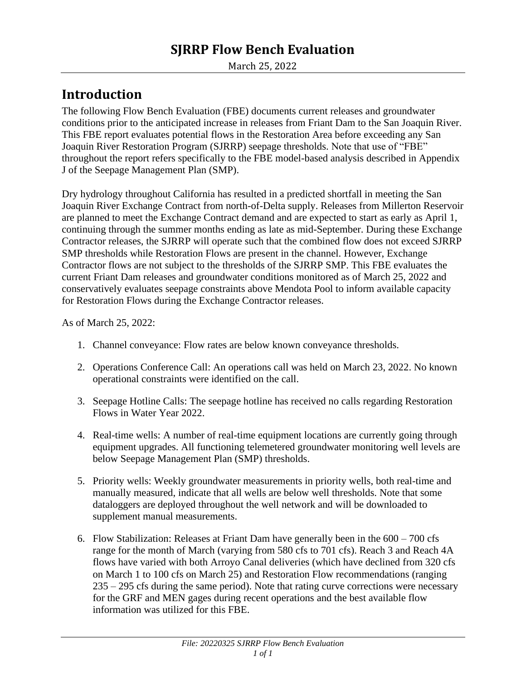# **SJRRP Flow Bench Evaluation**

March 25, 2022

# **Introduction**

The following Flow Bench Evaluation (FBE) documents current releases and groundwater conditions prior to the anticipated increase in releases from Friant Dam to the San Joaquin River. This FBE report evaluates potential flows in the Restoration Area before exceeding any San Joaquin River Restoration Program (SJRRP) seepage thresholds. Note that use of "FBE" throughout the report refers specifically to the FBE model-based analysis described in Appendix J of the Seepage Management Plan (SMP).

Dry hydrology throughout California has resulted in a predicted shortfall in meeting the San Joaquin River Exchange Contract from north-of-Delta supply. Releases from Millerton Reservoir are planned to meet the Exchange Contract demand and are expected to start as early as April 1, continuing through the summer months ending as late as mid-September. During these Exchange Contractor releases, the SJRRP will operate such that the combined flow does not exceed SJRRP SMP thresholds while Restoration Flows are present in the channel. However, Exchange Contractor flows are not subject to the thresholds of the SJRRP SMP. This FBE evaluates the current Friant Dam releases and groundwater conditions monitored as of March 25, 2022 and conservatively evaluates seepage constraints above Mendota Pool to inform available capacity for Restoration Flows during the Exchange Contractor releases.

As of March 25, 2022:

- 1. Channel conveyance: Flow rates are below known conveyance thresholds.
- 2. Operations Conference Call: An operations call was held on March 23, 2022. No known operational constraints were identified on the call.
- 3. Seepage Hotline Calls: The seepage hotline has received no calls regarding Restoration Flows in Water Year 2022.
- 4. Real-time wells: A number of real-time equipment locations are currently going through equipment upgrades. All functioning telemetered groundwater monitoring well levels are below Seepage Management Plan (SMP) thresholds.
- 5. Priority wells: Weekly groundwater measurements in priority wells, both real-time and manually measured, indicate that all wells are below well thresholds. Note that some dataloggers are deployed throughout the well network and will be downloaded to supplement manual measurements.
- 6. Flow Stabilization: Releases at Friant Dam have generally been in the 600 700 cfs range for the month of March (varying from 580 cfs to 701 cfs). Reach 3 and Reach 4A flows have varied with both Arroyo Canal deliveries (which have declined from 320 cfs on March 1 to 100 cfs on March 25) and Restoration Flow recommendations (ranging 235 – 295 cfs during the same period). Note that rating curve corrections were necessary for the GRF and MEN gages during recent operations and the best available flow information was utilized for this FBE.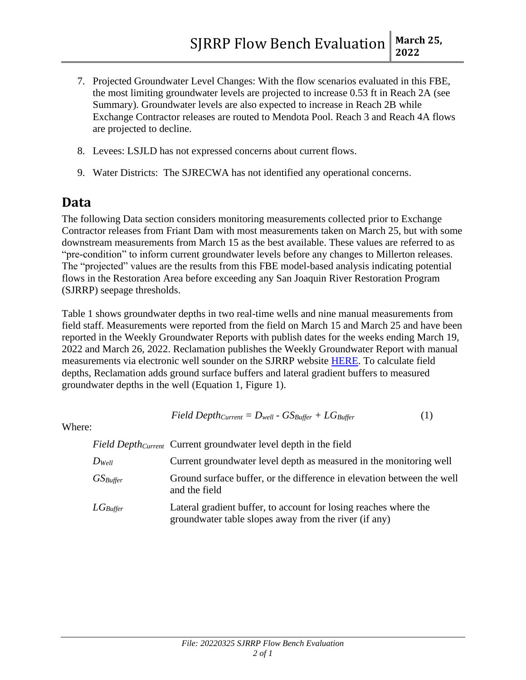- 7. Projected Groundwater Level Changes: With the flow scenarios evaluated in this FBE, the most limiting groundwater levels are projected to increase 0.53 ft in Reach 2A (see Summary). Groundwater levels are also expected to increase in Reach 2B while Exchange Contractor releases are routed to Mendota Pool. Reach 3 and Reach 4A flows are projected to decline.
- 8. Levees: LSJLD has not expressed concerns about current flows.
- 9. Water Districts: The SJRECWA has not identified any operational concerns.

### **Data**

The following Data section considers monitoring measurements collected prior to Exchange Contractor releases from Friant Dam with most measurements taken on March 25, but with some downstream measurements from March 15 as the best available. These values are referred to as "pre-condition" to inform current groundwater levels before any changes to Millerton releases. The "projected" values are the results from this FBE model-based analysis indicating potential flows in the Restoration Area before exceeding any San Joaquin River Restoration Program (SJRRP) seepage thresholds.

Table 1 shows groundwater depths in two real-time wells and nine manual measurements from field staff. Measurements were reported from the field on March 15 and March 25 and have been reported in the Weekly Groundwater Reports with publish dates for the weeks ending March 19, 2022 and March 26, 2022. Reclamation publishes the Weekly Groundwater Report with manual measurements via electronic well sounder on the SJRRP website [HERE.](http://www.restoresjr.net/restoration-flows/groundwater-monitoring/) To calculate field depths, Reclamation adds ground surface buffers and lateral gradient buffers to measured groundwater depths in the well (Equation 1, Figure 1).

$$
Field Depth_{Current} = D_{well} - G S_{Buffer} + LG_{Buffer}
$$
 (1)

Where:

*Field DepthCurrent* Current groundwater level depth in the field

| $D_{Well}$    | Current groundwater level depth as measured in the monitoring well                                                        |
|---------------|---------------------------------------------------------------------------------------------------------------------------|
| $GS_{Buffer}$ | Ground surface buffer, or the difference in elevation between the well<br>and the field                                   |
| $LG$ Buffer   | Lateral gradient buffer, to account for losing reaches where the<br>groundwater table slopes away from the river (if any) |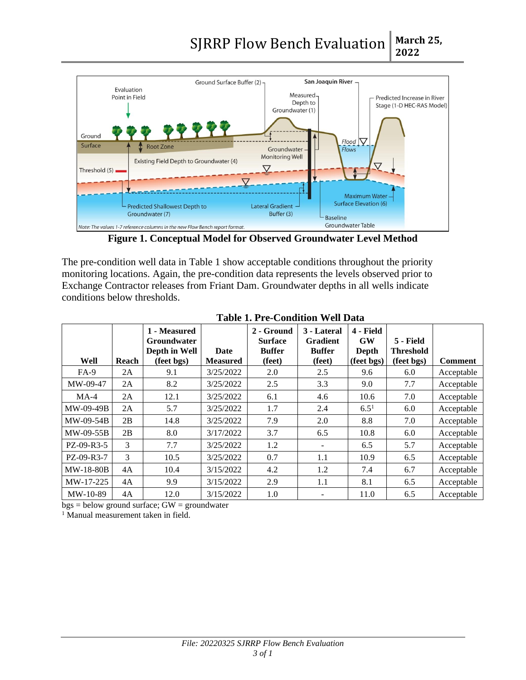

**Figure 1. Conceptual Model for Observed Groundwater Level Method**

The pre-condition well data in Table 1 show acceptable conditions throughout the priority monitoring locations. Again, the pre-condition data represents the levels observed prior to Exchange Contractor releases from Friant Dam. Groundwater depths in all wells indicate conditions below thresholds.

|                  |       | 1 - Measured<br><b>Groundwater</b><br>Depth in Well | Date            | 2 - Ground<br><b>Surface</b><br><b>Buffer</b> | 3 - Lateral<br><b>Gradient</b><br><b>Buffer</b> | 4 - Field<br><b>GW</b><br>Depth | 5 - Field<br><b>Threshold</b> |                |
|------------------|-------|-----------------------------------------------------|-----------------|-----------------------------------------------|-------------------------------------------------|---------------------------------|-------------------------------|----------------|
| Well             | Reach | (feet bgs)                                          | <b>Measured</b> | (feet)                                        | (feet)                                          | (feet bgs)                      | (feet bgs)                    | <b>Comment</b> |
| $FA-9$           | 2A    | 9.1                                                 | 3/25/2022       | 2.0                                           | 2.5                                             | 9.6                             | 6.0                           | Acceptable     |
| MW-09-47         | 2A    | 8.2                                                 | 3/25/2022       | 2.5                                           | 3.3                                             | 9.0                             | 7.7                           | Acceptable     |
| $MA-4$           | 2A    | 12.1                                                | 3/25/2022       | 6.1                                           | 4.6                                             | 10.6                            | 7.0                           | Acceptable     |
| MW-09-49B        | 2A    | 5.7                                                 | 3/25/2022       | 1.7                                           | 2.4                                             | $6.5^{1}$                       | 6.0                           | Acceptable     |
| MW-09-54B        | 2B    | 14.8                                                | 3/25/2022       | 7.9                                           | 2.0                                             | 8.8                             | 7.0                           | Acceptable     |
| MW-09-55B        | 2B    | 8.0                                                 | 3/17/2022       | 3.7                                           | 6.5                                             | 10.8                            | 6.0                           | Acceptable     |
| PZ-09-R3-5       | 3     | 7.7                                                 | 3/25/2022       | 1.2                                           | $\overline{\phantom{a}}$                        | 6.5                             | 5.7                           | Acceptable     |
| $PZ-09-R3-7$     | 3     | 10.5                                                | 3/25/2022       | 0.7                                           | 1.1                                             | 10.9                            | 6.5                           | Acceptable     |
| <b>MW-18-80B</b> | 4A    | 10.4                                                | 3/15/2022       | 4.2                                           | 1.2                                             | 7.4                             | 6.7                           | Acceptable     |
| MW-17-225        | 4A    | 9.9                                                 | 3/15/2022       | 2.9                                           | 1.1                                             | 8.1                             | 6.5                           | Acceptable     |
| $MW-10-89$       | 4A    | 12.0                                                | 3/15/2022       | 1.0                                           |                                                 | 11.0                            | 6.5                           | Acceptable     |

**Table 1. Pre-Condition Well Data**

 $bgs = below$  ground surface;  $GW =$  groundwater

<sup>1</sup> Manual measurement taken in field.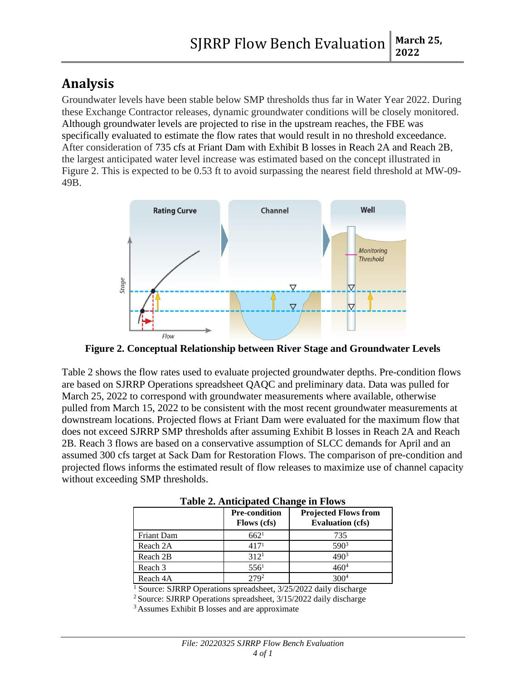# **Analysis**

Groundwater levels have been stable below SMP thresholds thus far in Water Year 2022. During these Exchange Contractor releases, dynamic groundwater conditions will be closely monitored. Although groundwater levels are projected to rise in the upstream reaches, the FBE was specifically evaluated to estimate the flow rates that would result in no threshold exceedance. After consideration of 735 cfs at Friant Dam with Exhibit B losses in Reach 2A and Reach 2B, the largest anticipated water level increase was estimated based on the concept illustrated in Figure 2. This is expected to be 0.53 ft to avoid surpassing the nearest field threshold at MW-09- 49B.



**Figure 2. Conceptual Relationship between River Stage and Groundwater Levels**

Table 2 shows the flow rates used to evaluate projected groundwater depths. Pre-condition flows are based on SJRRP Operations spreadsheet QAQC and preliminary data. Data was pulled for March 25, 2022 to correspond with groundwater measurements where available, otherwise pulled from March 15, 2022 to be consistent with the most recent groundwater measurements at downstream locations. Projected flows at Friant Dam were evaluated for the maximum flow that does not exceed SJRRP SMP thresholds after assuming Exhibit B losses in Reach 2A and Reach 2B. Reach 3 flows are based on a conservative assumption of SLCC demands for April and an assumed 300 cfs target at Sack Dam for Restoration Flows. The comparison of pre-condition and projected flows informs the estimated result of flow releases to maximize use of channel capacity without exceeding SMP thresholds.

|            | <b>Pre-condition</b><br><b>Flows</b> (cfs) | <b>Projected Flows from</b><br><b>Evaluation (cfs)</b> |
|------------|--------------------------------------------|--------------------------------------------------------|
| Friant Dam | 662 <sup>1</sup>                           | 735                                                    |
| Reach 2A   | 417 <sup>1</sup>                           | 590 <sup>3</sup>                                       |
| Reach 2B   | 312 <sup>1</sup>                           | 4903                                                   |
| Reach 3    | 556 <sup>1</sup>                           | 460ª                                                   |
| Reach 4A   | 270 <sup>2</sup>                           |                                                        |

**Table 2. Anticipated Change in Flows**

<sup>1</sup> Source: SJRRP Operations spreadsheet, 3/25/2022 daily discharge

<sup>2</sup>Source: SJRRP Operations spreadsheet, 3/15/2022 daily discharge

<sup>3</sup> Assumes Exhibit B losses and are approximate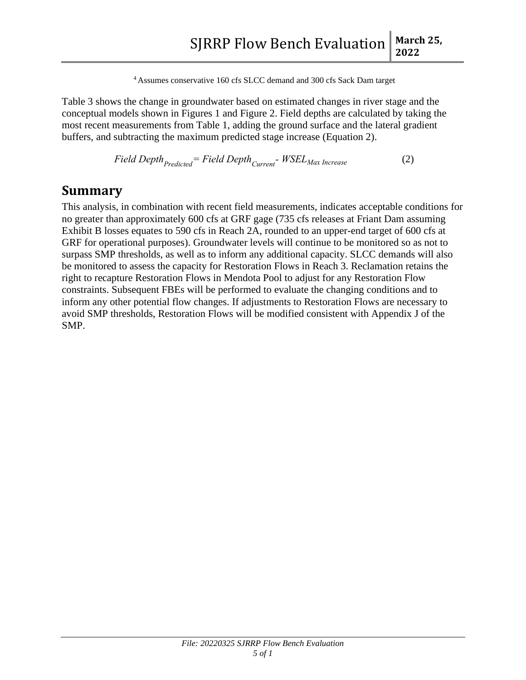<sup>4</sup> Assumes conservative 160 cfs SLCC demand and 300 cfs Sack Dam target

Table 3 shows the change in groundwater based on estimated changes in river stage and the conceptual models shown in Figures 1 and Figure 2. Field depths are calculated by taking the most recent measurements from Table 1, adding the ground surface and the lateral gradient buffers, and subtracting the maximum predicted stage increase (Equation 2).

$$
Field\; Depth_{Predicted} = Field\; Depth_{Current} - WSEL_{Max\; Increase} \tag{2}
$$

### **Summary**

This analysis, in combination with recent field measurements, indicates acceptable conditions for no greater than approximately 600 cfs at GRF gage (735 cfs releases at Friant Dam assuming Exhibit B losses equates to 590 cfs in Reach 2A, rounded to an upper-end target of 600 cfs at GRF for operational purposes). Groundwater levels will continue to be monitored so as not to surpass SMP thresholds, as well as to inform any additional capacity. SLCC demands will also be monitored to assess the capacity for Restoration Flows in Reach 3. Reclamation retains the right to recapture Restoration Flows in Mendota Pool to adjust for any Restoration Flow constraints. Subsequent FBEs will be performed to evaluate the changing conditions and to inform any other potential flow changes. If adjustments to Restoration Flows are necessary to avoid SMP thresholds, Restoration Flows will be modified consistent with Appendix J of the SMP.